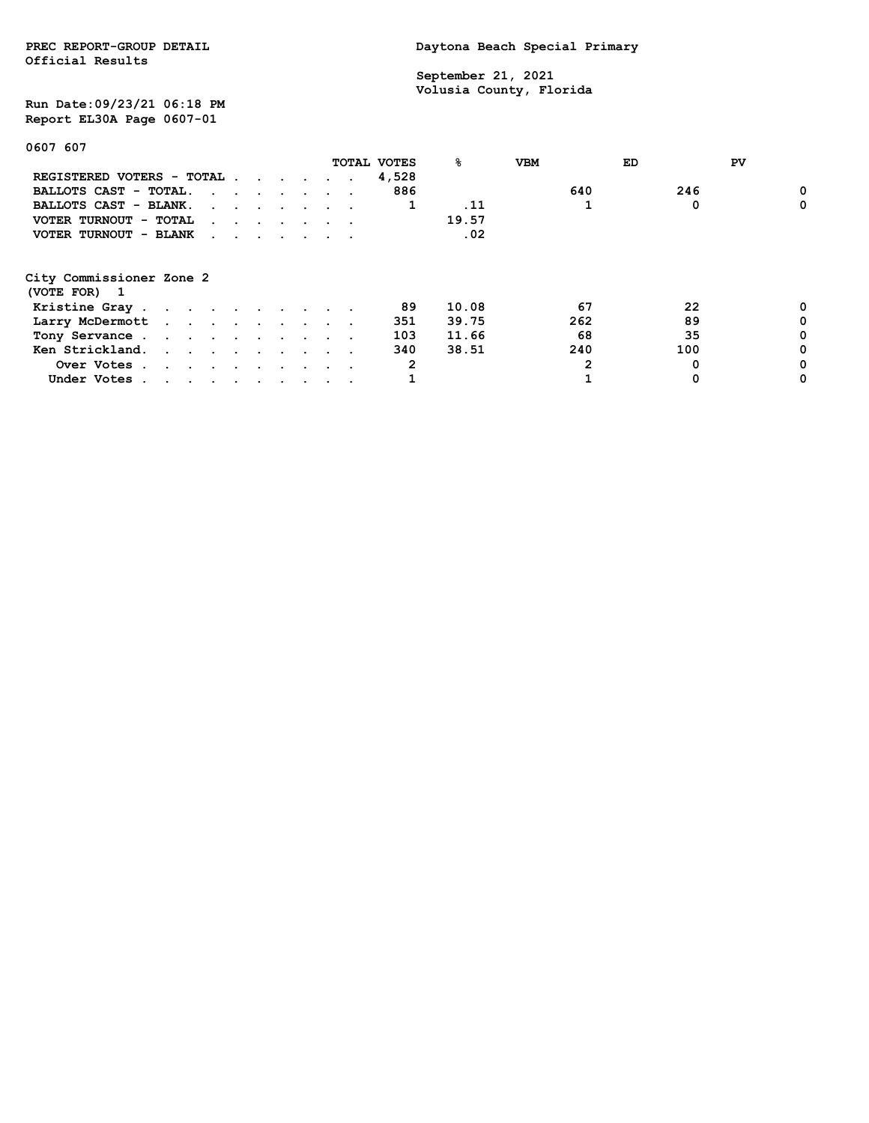**Official Results**

PREC REPORT-GROUP DETAIL **DETAIL DAYTONA BEACH Special Primary** 

 **September 21, 2021 Volusia County, Florida**

**Run Date:09/23/21 06:18 PM Report EL30A Page 0607-01**

**0607 607**

|                                          |                                                                                                                                                                                                                               |                                                                                                                                                                                                                                   |  |  | TOTAL VOTES | ℁     | <b>VBM</b> | ED | PV  |   |
|------------------------------------------|-------------------------------------------------------------------------------------------------------------------------------------------------------------------------------------------------------------------------------|-----------------------------------------------------------------------------------------------------------------------------------------------------------------------------------------------------------------------------------|--|--|-------------|-------|------------|----|-----|---|
| REGISTERED VOTERS - TOTAL                |                                                                                                                                                                                                                               |                                                                                                                                                                                                                                   |  |  | 4,528       |       |            |    |     |   |
| BALLOTS CAST - TOTAL.                    |                                                                                                                                                                                                                               | $\mathbf{r}$ . The contract of the contract of the contract of the contract of the contract of the contract of the contract of the contract of the contract of the contract of the contract of the contract of the contract of th |  |  | 886         |       | 640        |    | 246 | 0 |
| BALLOTS CAST - BLANK.                    |                                                                                                                                                                                                                               | the contract of the contract of the contract of the contract of the contract of the contract of the contract of                                                                                                                   |  |  |             | . 11  |            |    | 0   | 0 |
| VOTER TURNOUT - TOTAL                    |                                                                                                                                                                                                                               | $\mathbf{r}$ , and $\mathbf{r}$ , and $\mathbf{r}$ , and $\mathbf{r}$                                                                                                                                                             |  |  |             | 19.57 |            |    |     |   |
| VOTER TURNOUT - BLANK                    |                                                                                                                                                                                                                               | $\mathbf{r}$ , $\mathbf{r}$ , $\mathbf{r}$ , $\mathbf{r}$ , $\mathbf{r}$ , $\mathbf{r}$                                                                                                                                           |  |  |             | .02   |            |    |     |   |
| City Commissioner Zone 2<br>(VOTE FOR) 1 |                                                                                                                                                                                                                               |                                                                                                                                                                                                                                   |  |  |             |       |            |    |     |   |
| Kristine Gray                            |                                                                                                                                                                                                                               |                                                                                                                                                                                                                                   |  |  | 89          | 10.08 |            | 67 | 22  | 0 |
| Larry McDermott                          |                                                                                                                                                                                                                               |                                                                                                                                                                                                                                   |  |  | 351         | 39.75 | 262        |    | 89  | 0 |
| Tony Servance                            |                                                                                                                                                                                                                               |                                                                                                                                                                                                                                   |  |  | 103         | 11.66 |            | 68 | 35  | 0 |
| Ken Strickland.                          |                                                                                                                                                                                                                               |                                                                                                                                                                                                                                   |  |  | 340         | 38.51 | 240        |    | 100 | 0 |
| Over Votes.                              | the company of the company of the company of the company of the company of the company of the company of the company of the company of the company of the company of the company of the company of the company of the company |                                                                                                                                                                                                                                   |  |  | 2           |       |            | 2  | 0   | 0 |
| Under Votes.                             | the contract of the contract of the contract of the contract of the contract of the contract of the contract of                                                                                                               |                                                                                                                                                                                                                                   |  |  |             |       |            |    |     | 0 |